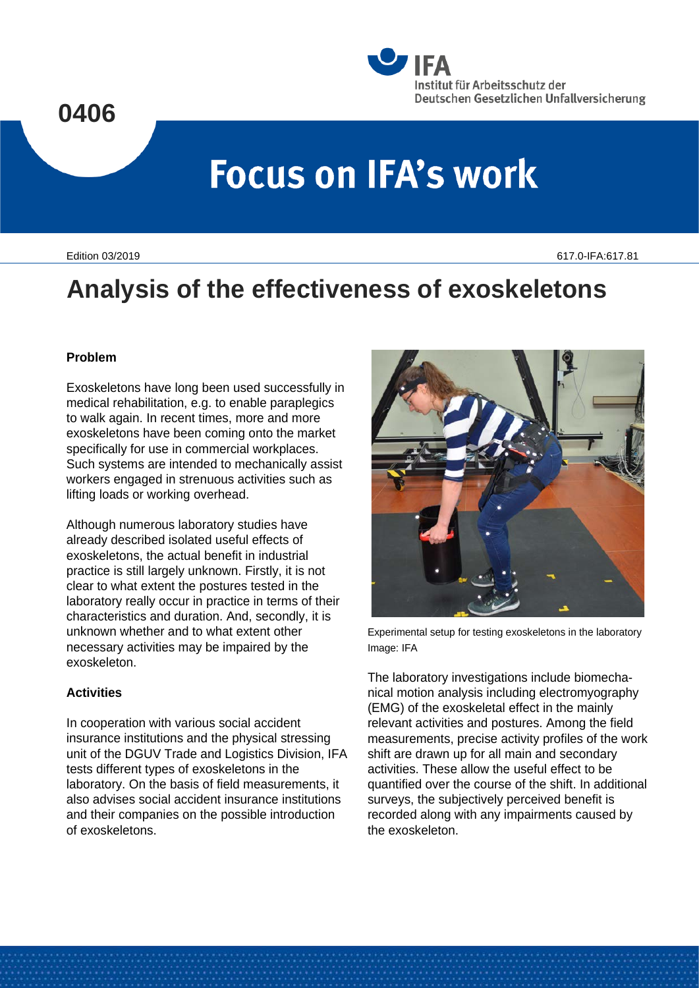### **0406**



# **Focus on IFA's work**

Edition 03/2019 617.0-IFA:617.81

## **Analysis of the effectiveness of exoskeletons**

#### **Problem**

Exoskeletons have long been used successfully in medical rehabilitation, e.g. to enable paraplegics to walk again. In recent times, more and more exoskeletons have been coming onto the market specifically for use in commercial workplaces. Such systems are intended to mechanically assist workers engaged in strenuous activities such as lifting loads or working overhead.

Although numerous laboratory studies have already described isolated useful effects of exoskeletons, the actual benefit in industrial practice is still largely unknown. Firstly, it is not clear to what extent the postures tested in the laboratory really occur in practice in terms of their characteristics and duration. And, secondly, it is unknown whether and to what extent other necessary activities may be impaired by the exoskeleton.

#### **Activities**

In cooperation with various social accident insurance institutions and the physical stressing unit of the DGUV Trade and Logistics Division, IFA tests different types of exoskeletons in the laboratory. On the basis of field measurements, it also advises social accident insurance institutions and their companies on the possible introduction of exoskeletons.



Experimental setup for testing exoskeletons in the laboratory Image: IFA

The laboratory investigations include biomechanical motion analysis including electromyography (EMG) of the exoskeletal effect in the mainly relevant activities and postures. Among the field measurements, precise activity profiles of the work shift are drawn up for all main and secondary activities. These allow the useful effect to be quantified over the course of the shift. In additional surveys, the subjectively perceived benefit is recorded along with any impairments caused by the exoskeleton.